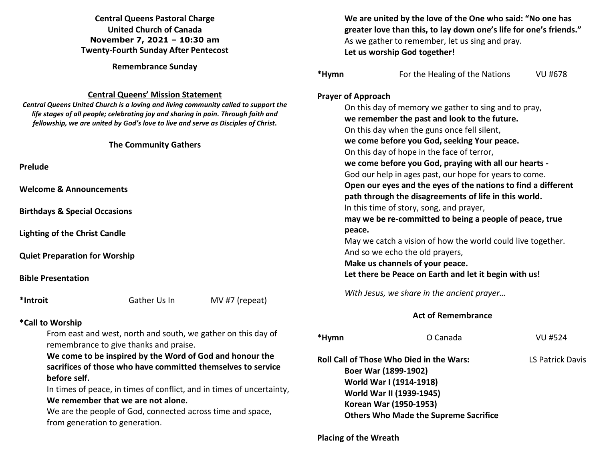## **Central Queens Pastoral Charge United Church of Canada November 7, 2021 – 10:30 am Twenty-Fourth Sunday After Pentecost**

**Remembrance Sunday** 

### **Central Queens' Mission Statement**

 *Central Queens United Church is a loving and living community called to support the life stages of all people; celebrating joy and sharing in pain. Through faith and fellowship, we are united by God's love to live and serve as Disciples of Christ***.** 

#### **The Community Gathers**

**Prelude** 

**Welcome & Announcements** 

**Birthdays & Special Occasions** 

**Lighting of the Christ Candle** 

**Quiet Preparation for Worship**

### **Bible Presentation**

**\*Introit** Gather Us In MV #7 (repeat)

### **\*Call to Worship**

From east and west, north and south, we gather on this day of remembrance to give thanks and praise.

 **We come to be inspired by the Word of God and honour the sacrifices of those who have committed themselves to service before self.** 

 In times of peace, in times of conflict, and in times of uncertainty,  **We remember that we are not alone.** 

We are the people of God, connected across time and space, from generation to generation.

|       | We are united by the love of the One who said: "No one has<br>greater love than this, to lay down one's life for one's friends."<br>As we gather to remember, let us sing and pray.<br>Let us worship God together! |
|-------|---------------------------------------------------------------------------------------------------------------------------------------------------------------------------------------------------------------------|
| *Hymn | For the Healing of the Nations<br>VU #678                                                                                                                                                                           |
|       | <b>Prayer of Approach</b>                                                                                                                                                                                           |
|       | On this day of memory we gather to sing and to pray,                                                                                                                                                                |
|       | we remember the past and look to the future.                                                                                                                                                                        |
|       | On this day when the guns once fell silent,                                                                                                                                                                         |
|       | we come before you God, seeking Your peace.                                                                                                                                                                         |
|       | On this day of hope in the face of terror,                                                                                                                                                                          |
|       | we come before you God, praying with all our hearts -                                                                                                                                                               |
|       | God our help in ages past, our hope for years to come.                                                                                                                                                              |
|       | Open our eyes and the eyes of the nations to find a different                                                                                                                                                       |
|       | path through the disagreements of life in this world.                                                                                                                                                               |
|       | In this time of story, song, and prayer,                                                                                                                                                                            |
|       | may we be re-committed to being a people of peace, true                                                                                                                                                             |
|       | peace.                                                                                                                                                                                                              |
|       | May we catch a vision of how the world could live together.                                                                                                                                                         |
|       | And so we echo the old prayers,                                                                                                                                                                                     |
|       | Make us channels of your peace.                                                                                                                                                                                     |
|       | Let there be Peace on Earth and let it begin with us!                                                                                                                                                               |

*With Jesus, we share in the ancient prayer…*

### **Act of Remembrance**

| *Hymn | O Canada                                                                                                                                                                                          | VU #524                 |
|-------|---------------------------------------------------------------------------------------------------------------------------------------------------------------------------------------------------|-------------------------|
|       | Roll Call of Those Who Died in the Wars:<br>Boer War (1899-1902)<br>World War I (1914-1918)<br>World War II (1939-1945)<br>Korean War (1950-1953)<br><b>Others Who Made the Supreme Sacrifice</b> | <b>LS Patrick Davis</b> |
|       |                                                                                                                                                                                                   |                         |

### **Placing of the Wreath**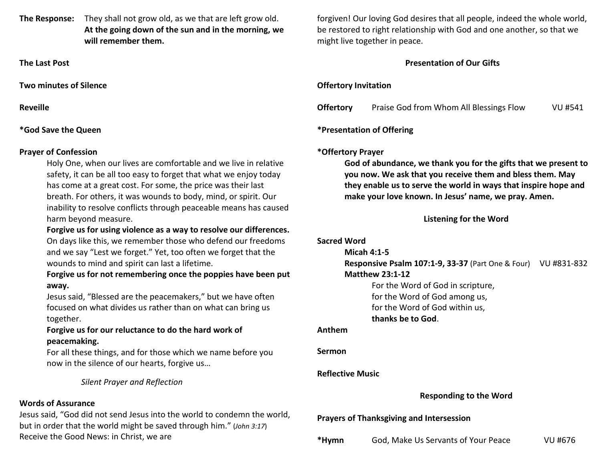**The Response:** They shall not grow old, as we that are left grow old.  **At the going down of the sun and in the morning, we will remember them.** 

**The Last Post** 

**Two minutes of Silence** 

**Reveille** 

## **\*God Save the Queen**

## **Prayer of Confession**

Holy One, when our lives are comfortable and we live in relative safety, it can be all too easy to forget that what we enjoy today has come at a great cost. For some, the price was their last breath. For others, it was wounds to body, mind, or spirit. Our inability to resolve conflicts through peaceable means has caused harm beyond measure.

## **Forgive us for using violence as a way to resolve our differences.**

 On days like this, we remember those who defend our freedoms and we say "Lest we forget." Yet, too often we forget that the wounds to mind and spirit can last a lifetime.

## **Forgive us for not remembering once the poppies have been put away.**

 Jesus said, "Blessed are the peacemakers," but we have often focused on what divides us rather than on what can bring us together.

# **Forgive us for our reluctance to do the hard work of peacemaking.**

For all these things, and for those which we name before you now in the silence of our hearts, forgive us…

 *Silent Prayer and Reflection* 

# **Words of Assurance**

 Jesus said, "God did not send Jesus into the world to condemn the world, but in order that the world might be saved through him." (*John 3:17*)Receive the Good News: in Christ, we are

forgiven! Our loving God desires that all people, indeed the whole world, be restored to right relationship with God and one another, so that we might live together in peace.

# **Presentation of Our Gifts**

# **Offertory Invitation**

| <b>Offertory</b> | Praise God from Whom All Blessings Flow | VU #541 |
|------------------|-----------------------------------------|---------|
|                  |                                         |         |

# **\*Presentation of Offering**

# **\*Offertory Prayer**

**God of abundance, we thank you for the gifts that we present to you now. We ask that you receive them and bless them. May they enable us to serve the world in ways that inspire hope and make your love known. In Jesus' name, we pray. Amen.** 

# **Listening for the Word**

| <b>Sacred Word</b>      |                                                               |         |
|-------------------------|---------------------------------------------------------------|---------|
|                         | Micah $4:1-5$                                                 |         |
|                         | Responsive Psalm 107:1-9, 33-37 (Part One & Four) VU #831-832 |         |
|                         | <b>Matthew 23:1-12</b>                                        |         |
|                         | For the Word of God in scripture,                             |         |
|                         | for the Word of God among us,                                 |         |
|                         | for the Word of God within us,                                |         |
|                         | thanks be to God.                                             |         |
| Anthem                  |                                                               |         |
| Sermon                  |                                                               |         |
| <b>Reflective Music</b> |                                                               |         |
|                         | <b>Responding to the Word</b>                                 |         |
|                         | <b>Prayers of Thanksgiving and Intersession</b>               |         |
| *Hymn                   | God, Make Us Servants of Your Peace                           | VU #676 |
|                         |                                                               |         |
|                         |                                                               |         |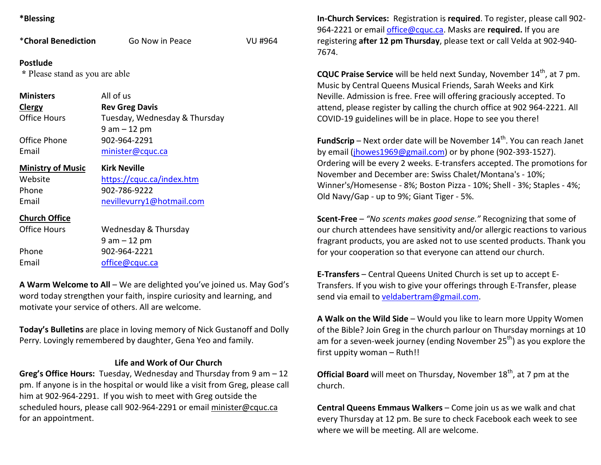### **\*Blessing**

| *Choral Benediction                        | Go Now in Peace               | VU #964 |
|--------------------------------------------|-------------------------------|---------|
| Postlude<br>* Please stand as you are able |                               |         |
| <b>Ministers</b>                           | All of us                     |         |
| <b>Clergy</b>                              | <b>Rev Greg Davis</b>         |         |
| Office Hours                               | Tuesday, Wednesday & Thursday |         |
|                                            | $9 am - 12 pm$                |         |
| Office Phone                               | 902-964-2291                  |         |
| Email                                      | minister@cquc.ca              |         |
| <b>Ministry of Music</b>                   | <b>Kirk Neville</b>           |         |
| Website                                    | https://cquc.ca/index.htm     |         |
| Phone                                      | 902-786-9222                  |         |
| Email                                      | nevillevurry1@hotmail.com     |         |
| <b>Church Office</b>                       |                               |         |
| <b>Office Hours</b>                        | Wednesday & Thursday          |         |
|                                            | $9$ am $-12$ pm               |         |
| Phone                                      | 902-964-2221                  |         |
| Email                                      | office@cquc.ca                |         |
|                                            |                               |         |

**A Warm Welcome to All** – We are delighted you've joined us. May God's word today strengthen your faith, inspire curiosity and learning, and motivate your service of others. All are welcome.

**Today's Bulletins** are place in loving memory of Nick Gustanoff and Dolly Perry. Lovingly remembered by daughter, Gena Yeo and family.

### **Life and Work of Our Church**

**Greg's Office Hours:** Tuesday, Wednesday and Thursday from 9 am – 12 pm. If anyone is in the hospital or would like a visit from Greg, please call him at 902-964-2291. If you wish to meet with Greg outside the scheduled hours, please call 902-964-2291 or email minister@cquc.ca for an appointment.

**In-Church Services:** Registration is **required**. To register, please call 902-964-2221 or email office@cquc.ca. Masks are **required.** If you are registering **after 12 pm Thursday**, please text or call Velda at 902-940- 7674.

**CQUC Praise Service** will be held next Sunday, November 14<sup>th</sup>, at 7 pm. Music by Central Queens Musical Friends, Sarah Weeks and Kirk Neville. Admission is free. Free will offering graciously accepted. To attend, please register by calling the church office at 902 964-2221. All COVID-19 guidelines will be in place. Hope to see you there!

**FundScrip** – Next order date will be November 14<sup>th</sup>. You can reach Janet by email (jhowes1969@gmail.com) or by phone (902-393-1527). Ordering will be every 2 weeks. E-transfers accepted. The promotions for November and December are: Swiss Chalet/Montana's - 10%; Winner's/Homesense - 8%; Boston Pizza - 10%; Shell - 3%; Staples - 4%; Old Navy/Gap - up to 9%; Giant Tiger - 5%.

**Scent-Free** – *"No scents makes good sense."* Recognizing that some of our church attendees have sensitivity and/or allergic reactions to various fragrant products, you are asked not to use scented products. Thank you for your cooperation so that everyone can attend our church.

**E-Transfers** – Central Queens United Church is set up to accept E-Transfers. If you wish to give your offerings through E-Transfer, please send via email to veldabertram@gmail.com.

**A Walk on the Wild Side** – Would you like to learn more Uppity Women of the Bible? Join Greg in the church parlour on Thursday mornings at 10 am for a seven-week journey (ending November 25<sup>th</sup>) as you explore the first uppity woman – Ruth!!

**Official Board** will meet on Thursday, November 18<sup>th</sup>, at 7 pm at the church.

**Central Queens Emmaus Walkers** – Come join us as we walk and chat every Thursday at 12 pm. Be sure to check Facebook each week to see where we will be meeting. All are welcome.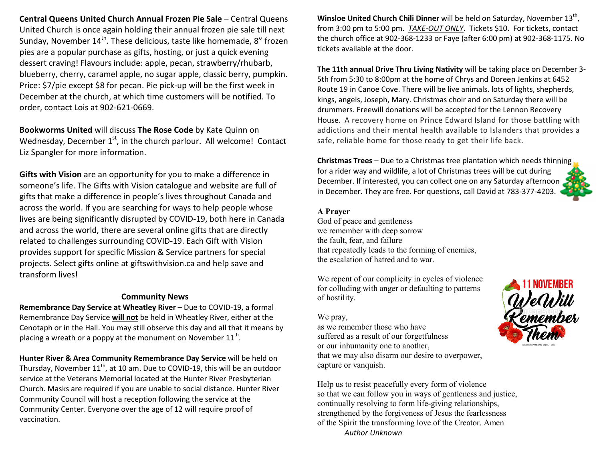**Central Queens United Church Annual Frozen Pie Sale** – Central Queens United Church is once again holding their annual frozen pie sale till next Sunday, November 14<sup>th</sup>. These delicious, taste like homemade, 8" frozen pies are a popular purchase as gifts, hosting, or just a quick evening dessert craving! Flavours include: apple, pecan, strawberry/rhubarb, blueberry, cherry, caramel apple, no sugar apple, classic berry, pumpkin. Price: \$7/pie except \$8 for pecan. Pie pick-up will be the first week in December at the church, at which time customers will be notified. To order, contact Lois at 902-621-0669.

**Bookworms United** will discuss **The Rose Code** by Kate Quinn on Wednesday, December  $1<sup>st</sup>$ , in the church parlour. All welcome! Contact Liz Spangler for more information.

**Gifts with Vision** are an opportunity for you to make a difference in someone's life. The Gifts with Vision catalogue and website are full of gifts that make a difference in people's lives throughout Canada and across the world. If you are searching for ways to help people whose lives are being significantly disrupted by COVID-19, both here in Canada and across the world, there are several online gifts that are directly related to challenges surrounding COVID-19. Each Gift with Vision provides support for specific Mission & Service partners for special projects. Select gifts online at giftswithvision.ca and help save and transform lives!

#### **Community News**

**Remembrance Day Service at Wheatley River** – Due to COVID-19, a formal Remembrance Day Service **will not** be held in Wheatley River, either at the Cenotaph or in the Hall. You may still observe this day and all that it means by placing a wreath or a poppy at the monument on November  $11^{th}$ .

**Hunter River & Area Community Remembrance Day Service** will be held on Thursday, November 11<sup>th</sup>, at 10 am. Due to COVID-19, this will be an outdoor service at the Veterans Memorial located at the Hunter River Presbyterian Church. Masks are required if you are unable to social distance. Hunter River Community Council will host a reception following the service at the Community Center. Everyone over the age of 12 will require proof of vaccination.

**Winsloe United Church Chili Dinner** will be held on Saturday, November 13<sup>th</sup>, from 3:00 pm to 5:00 pm. *TAKE-OUT ONLY*. Tickets \$10. For tickets, contact the church office at 902-368-1233 or Faye (after 6:00 pm) at 902-368-1175. No tickets available at the door.

**The 11th annual Drive Thru Living Nativity** will be taking place on December 3- 5th from 5:30 to 8:00pm at the home of Chrys and Doreen Jenkins at 6452 Route 19 in Canoe Cove. There will be live animals. lots of lights, shepherds, kings, angels, Joseph, Mary. Christmas choir and on Saturday there will be drummers. Freewill donations will be accepted for the Lennon Recovery House. A recovery home on Prince Edward Island for those battling with addictions and their mental health available to Islanders that provides a safe, reliable home for those ready to get their life back.

**Christmas Trees** – Due to a Christmas tree plantation which needs thinning for a rider way and wildlife, a lot of Christmas trees will be cut during December. If interested, you can collect one on any Saturday afternoon in December. They are free. For questions, call David at 783-377-4203.

#### **A Prayer**

 God of peace and gentleness we remember with deep sorrow the fault, fear, and failure that repeatedly leads to the forming of enemies, the escalation of hatred and to war.

We repent of our complicity in cycles of violence for colluding with anger or defaulting to patterns of hostility.

#### We pray,

 as we remember those who have suffered as a result of our forgetfulness or our inhumanity one to another, that we may also disarm our desire to overpower, capture or vanquish.

Help us to resist peacefully every form of violence so that we can follow you in ways of gentleness and justice, continually resolving to form life-giving relationships, strengthened by the forgiveness of Jesus the fearlessness of the Spirit the transforming love of the Creator. Amen *Author Unknown*